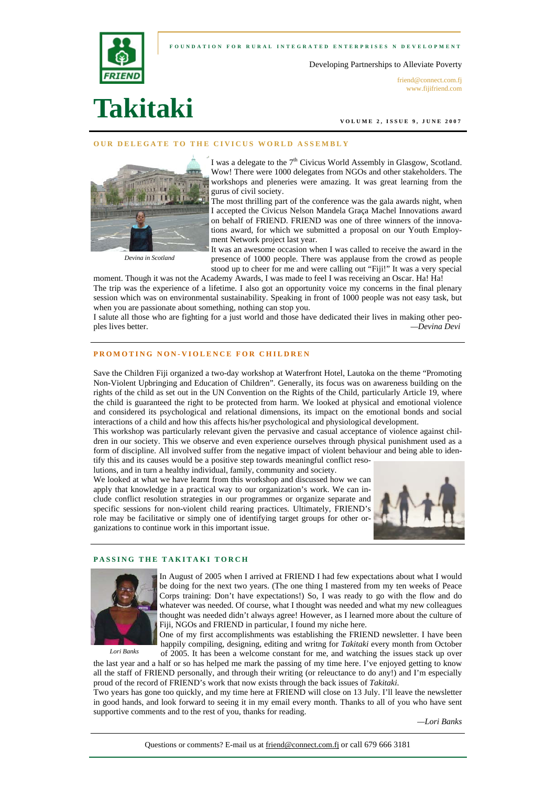



Developing Partnerships to Alleviate Poverty

friend@connect.com.fi www.fijifriend.com

# **Takitaki**

**VOLUME 2, ISSUE 9, JUNE 2007** 

#### **OUR DELEGATE TO THE CIVICUS WORLD ASSEMBLY**



I was a delegate to the 7<sup>th</sup> Civicus World Assembly in Glasgow, Scotland. Wow! There were 1000 delegates from NGOs and other stakeholders. The workshops and pleneries were amazing. It was great learning from the gurus of civil society.

The most thrilling part of the conference was the gala awards night, when I accepted the Civicus Nelson Mandela Graça Machel Innovations award on behalf of FRIEND. FRIEND was one of three winners of the innovations award, for which we submitted a proposal on our Youth Employment Network project last year.

*Devina in Scotland* 

It was an awesome occasion when I was called to receive the award in the presence of 1000 people. There was applause from the crowd as people stood up to cheer for me and were calling out "Fiji!" It was a very special

moment. Though it was not the Academy Awards, I was made to feel I was receiving an Oscar. Ha! Ha! The trip was the experience of a lifetime. I also got an opportunity voice my concerns in the final plenary session which was on environmental sustainability. Speaking in front of 1000 people was not easy task, but when you are passionate about something, nothing can stop you.

I salute all those who are fighting for a just world and those have dedicated their lives in making other peoples lives better. *—Devina Devi*

## **PROMOTING NON-VIOLENCE FOR CHILDREN**

Save the Children Fiji organized a two-day workshop at Waterfront Hotel, Lautoka on the theme "Promoting Non-Violent Upbringing and Education of Children". Generally, its focus was on awareness building on the rights of the child as set out in the UN Convention on the Rights of the Child, particularly Article 19, where the child is guaranteed the right to be protected from harm. We looked at physical and emotional violence and considered its psychological and relational dimensions, its impact on the emotional bonds and social interactions of a child and how this affects his/her psychological and physiological development.

This workshop was particularly relevant given the pervasive and casual acceptance of violence against children in our society. This we observe and even experience ourselves through physical punishment used as a form of discipline. All involved suffer from the negative impact of violent behaviour and being able to identify this and its causes would be a positive step towards meaningful conflict reso-

lutions, and in turn a healthy individual, family, community and society.

We looked at what we have learnt from this workshop and discussed how we can apply that knowledge in a practical way to our organization's work. We can include conflict resolution strategies in our programmes or organize separate and specific sessions for non-violent child rearing practices. Ultimately, FRIEND's role may be facilitative or simply one of identifying target groups for other organizations to continue work in this important issue.



### **PASSING THE TAKITAKI TORCH**



In August of 2005 when I arrived at FRIEND I had few expectations about what I would be doing for the next two years. (The one thing I mastered from my ten weeks of Peace Corps training: Don't have expectations!) So, I was ready to go with the flow and do whatever was needed. Of course, what I thought was needed and what my new colleagues thought was needed didn't always agree! However, as I learned more about the culture of Fiji, NGOs and FRIEND in particular, I found my niche here.

*Lori Banks* 

One of my first accomplishments was establishing the FRIEND newsletter. I have been happily compiling, designing, editing and writng for *Takitaki* every month from October of 2005. It has been a welcome constant for me, and watching the issues stack up over

the last year and a half or so has helped me mark the passing of my time here. I've enjoyed getting to know all the staff of FRIEND personally, and through their writing (or releuctance to do any!) and I'm especially proud of the record of FRIEND's work that now exists through the back issues of *Takitaki*.

Two years has gone too quickly, and my time here at FRIEND will close on 13 July. I'll leave the newsletter in good hands, and look forward to seeing it in my email every month. Thanks to all of you who have sent supportive comments and to the rest of you, thanks for reading.

*—Lori Banks*